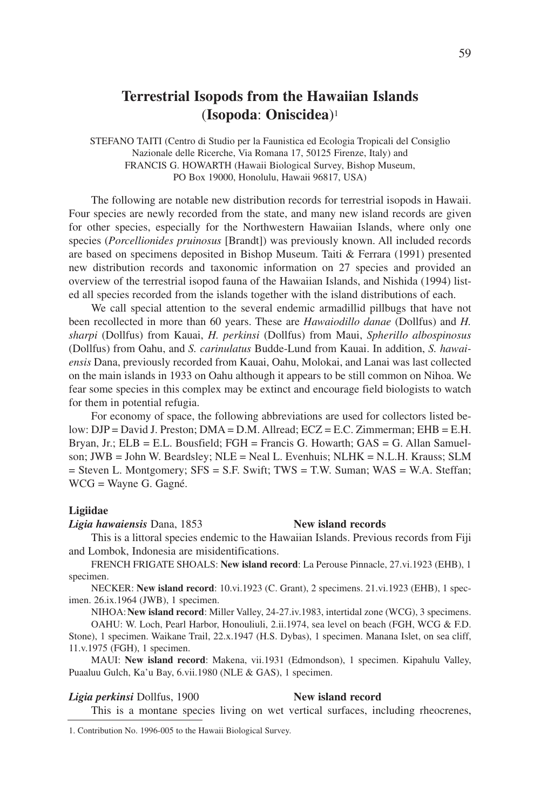# **Terrestrial Isopods from the Hawaiian Islands** (**Isopoda**: **Oniscidea**)1

STEFANO TAITI (Centro di Studio per la Faunistica ed Ecologia Tropicali del Consiglio Nazionale delle Ricerche, Via Romana 17, 50125 Firenze, Italy) and FRANCIS G. HOWARTH (Hawaii Biological Survey, Bishop Museum, PO Box 19000, Honolulu, Hawaii 96817, USA)

The following are notable new distribution records for terrestrial isopods in Hawaii. Four species are newly recorded from the state, and many new island records are given for other species, especially for the Northwestern Hawaiian Islands, where only one species (*Porcellionides pruinosus* [Brandt]) was previously known. All included records are based on specimens deposited in Bishop Museum. Taiti & Ferrara (1991) presented new distribution records and taxonomic information on 27 species and provided an overview of the terrestrial isopod fauna of the Hawaiian Islands, and Nishida (1994) listed all species recorded from the islands together with the island distributions of each.

We call special attention to the several endemic armadillid pillbugs that have not been recollected in more than 60 years. These are *Hawaiodillo danae* (Dollfus) and *H. sharpi* (Dollfus) from Kauai, *H. perkinsi* (Dollfus) from Maui, *Spherillo albospinosus* (Dollfus) from Oahu, and *S. carinulatus* Budde-Lund from Kauai. In addition, *S. hawaiensis* Dana, previously recorded from Kauai, Oahu, Molokai, and Lanai was last collected on the main islands in 1933 on Oahu although it appears to be still common on Nihoa. We fear some species in this complex may be extinct and encourage field biologists to watch for them in potential refugia.

For economy of space, the following abbreviations are used for collectors listed below: DJP = David J. Preston; DMA = D.M. Allread; ECZ = E.C. Zimmerman; EHB = E.H. Bryan, Jr.; ELB = E.L. Bousfield; FGH = Francis G. Howarth; GAS = G. Allan Samuelson; JWB = John W. Beardsley; NLE = Neal L. Evenhuis; NLHK = N.L.H. Krauss; SLM = Steven L. Montgomery; SFS = S.F. Swift; TWS = T.W. Suman; WAS = W.A. Steffan; WCG = Wayne G. Gagné.

## **Ligiidae**

*Ligia hawaiensis* Dana, 1853 **New island records**

This is a littoral species endemic to the Hawaiian Islands. Previous records from Fiji and Lombok, Indonesia are misidentifications.

FRENCH FRIGATE SHOALS: **New island record**: La Perouse Pinnacle, 27.vi.1923 (EHB), 1 specimen.

NECKER: **New island record**: 10.vi.1923 (C. Grant), 2 specimens. 21.vi.1923 (EHB), 1 specimen. 26.ix.1964 (JWB), 1 specimen.

NIHOA:**New island record**: Miller Valley, 24-27.iv.1983, intertidal zone (WCG), 3 specimens.

OAHU: W. Loch, Pearl Harbor, Honouliuli, 2.ii.1974, sea level on beach (FGH, WCG & F.D. Stone), 1 specimen. Waikane Trail, 22.x.1947 (H.S. Dybas), 1 specimen. Manana Islet, on sea cliff, 11.v.1975 (FGH), 1 specimen.

MAUI: **New island record**: Makena, vii.1931 (Edmondson), 1 specimen. Kipahulu Valley, Puaaluu Gulch, Ka'u Bay, 6.vii.1980 (NLE & GAS), 1 specimen.

## *Ligia perkinsi* Dollfus, 1900 **New island record**

This is a montane species living on wet vertical surfaces, including rheocrenes,

<sup>1.</sup> Contribution No. 1996-005 to the Hawaii Biological Survey.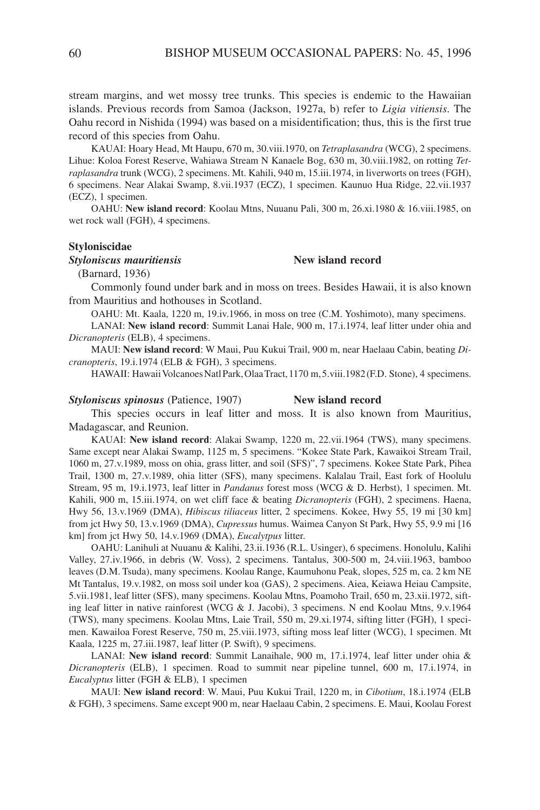stream margins, and wet mossy tree trunks. This species is endemic to the Hawaiian islands. Previous records from Samoa (Jackson, 1927a, b) refer to *Ligia vitiensis*. The Oahu record in Nishida (1994) was based on a misidentification; thus, this is the first true record of this species from Oahu.

KAUAI: Hoary Head, Mt Haupu, 670 m, 30.viii.1970, on *Tetraplasandra* (WCG), 2 specimens. Lihue: Koloa Forest Reserve, Wahiawa Stream N Kanaele Bog, 630 m, 30.viii.1982, on rotting *Tetraplasandra* trunk (WCG), 2 specimens. Mt. Kahili, 940 m, 15.iii.1974, in liverworts on trees (FGH), 6 specimens. Near Alakai Swamp, 8.vii.1937 (ECZ), 1 specimen. Kaunuo Hua Ridge, 22.vii.1937 (ECZ), 1 specimen.

OAHU: **New island record**: Koolau Mtns, Nuuanu Pali, 300 m, 26.xi.1980 & 16.viii.1985, on wet rock wall (FGH), 4 specimens.

## **Styloniscidae**

## *Styloniscus mauritiensis* **New island record**

(Barnard, 1936)

Commonly found under bark and in moss on trees. Besides Hawaii, it is also known from Mauritius and hothouses in Scotland.

OAHU: Mt. Kaala, 1220 m, 19.iv.1966, in moss on tree (C.M. Yoshimoto), many specimens.

LANAI: **New island record**: Summit Lanai Hale, 900 m, 17.i.1974, leaf litter under ohia and *Dicranopteris* (ELB), 4 specimens.

MAUI: **New island record**: W Maui, Puu Kukui Trail, 900 m, near Haelaau Cabin, beating *Dicranopteris*, 19.i.1974 (ELB & FGH), 3 specimens.

HAWAII: Hawaii Volcanoes Natl Park, Olaa Tract, 1170 m, 5. viii. 1982 (F.D. Stone), 4 specimens.

## *Styloniscus spinosus* (Patience, 1907) **New island record**

This species occurs in leaf litter and moss. It is also known from Mauritius, Madagascar, and Reunion.

KAUAI: **New island record**: Alakai Swamp, 1220 m, 22.vii.1964 (TWS), many specimens. Same except near Alakai Swamp, 1125 m, 5 specimens. "Kokee State Park, Kawaikoi Stream Trail, 1060 m, 27.v.1989, moss on ohia, grass litter, and soil (SFS)", 7 specimens. Kokee State Park, Pihea Trail, 1300 m, 27.v.1989, ohia litter (SFS), many specimens. Kalalau Trail, East fork of Hoolulu Stream, 95 m, 19.i.1973, leaf litter in *Pandanus* forest moss (WCG & D. Herbst), 1 specimen. Mt. Kahili, 900 m, 15.iii.1974, on wet cliff face & beating *Dicranopteris* (FGH), 2 specimens. Haena, Hwy 56, 13.v.1969 (DMA), *Hibiscus tiliaceus* litter, 2 specimens. Kokee, Hwy 55, 19 mi [30 km] from jct Hwy 50, 13.v.1969 (DMA), *Cupressus* humus. Waimea Canyon St Park, Hwy 55, 9.9 mi [16 km] from jct Hwy 50, 14.v.1969 (DMA), *Eucalytpus* litter.

OAHU: Lanihuli at Nuuanu & Kalihi, 23.ii.1936 (R.L. Usinger), 6 specimens. Honolulu, Kalihi Valley, 27.iv.1966, in debris (W. Voss), 2 specimens. Tantalus, 300-500 m, 24.viii.1963, bamboo leaves (D.M. Tsuda), many specimens. Koolau Range, Kaumuhonu Peak, slopes, 525 m, ca. 2 km NE Mt Tantalus, 19.v.1982, on moss soil under koa (GAS), 2 specimens. Aiea, Keiawa Heiau Campsite, 5.vii.1981, leaf litter (SFS), many specimens. Koolau Mtns, Poamoho Trail, 650 m, 23.xii.1972, sifting leaf litter in native rainforest (WCG & J. Jacobi), 3 specimens. N end Koolau Mtns, 9.v.1964 (TWS), many specimens. Koolau Mtns, Laie Trail, 550 m, 29.xi.1974, sifting litter (FGH), 1 specimen. Kawailoa Forest Reserve, 750 m, 25.viii.1973, sifting moss leaf litter (WCG), 1 specimen. Mt Kaala, 1225 m, 27.iii.1987, leaf litter (P. Swift), 9 specimens.

LANAI: **New island record**: Summit Lanaihale, 900 m, 17.i.1974, leaf litter under ohia & *Dicranopteris* (ELB), 1 specimen. Road to summit near pipeline tunnel, 600 m, 17.i.1974, in *Eucalyptus* litter (FGH & ELB), 1 specimen

MAUI: **New island record**: W. Maui, Puu Kukui Trail, 1220 m, in *Cibotium*, 18.i.1974 (ELB & FGH), 3 specimens. Same except 900 m, near Haelaau Cabin, 2 specimens. E. Maui, Koolau Forest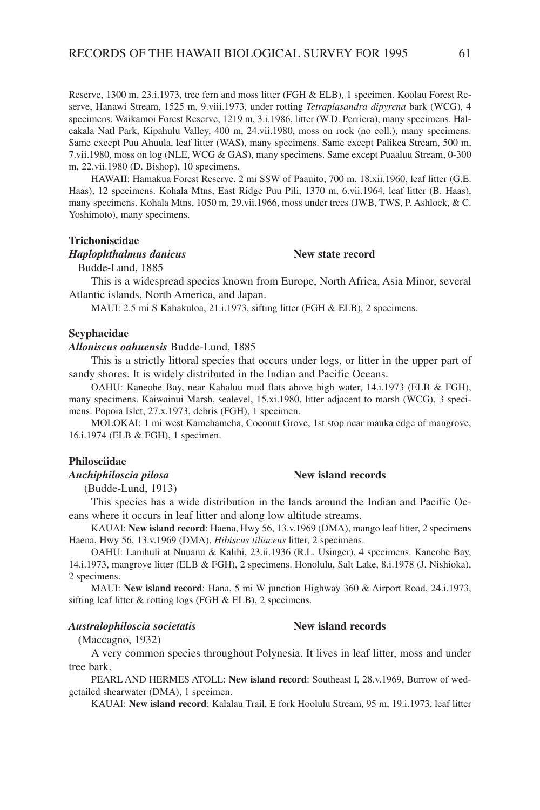Reserve, 1300 m, 23.i.1973, tree fern and moss litter (FGH & ELB), 1 specimen. Koolau Forest Reserve, Hanawi Stream, 1525 m, 9.viii.1973, under rotting *Tetraplasandra dipyrena* bark (WCG), 4 specimens. Waikamoi Forest Reserve, 1219 m, 3.i.1986, litter (W.D. Perriera), many specimens. Haleakala Natl Park, Kipahulu Valley, 400 m, 24.vii.1980, moss on rock (no coll.), many specimens. Same except Puu Ahuula, leaf litter (WAS), many specimens. Same except Palikea Stream, 500 m, 7.vii.1980, moss on log (NLE, WCG & GAS), many specimens. Same except Puaaluu Stream, 0-300 m, 22.vii.1980 (D. Bishop), 10 specimens.

HAWAII: Hamakua Forest Reserve, 2 mi SSW of Paauito, 700 m, 18.xii.1960, leaf litter (G.E. Haas), 12 specimens. Kohala Mtns, East Ridge Puu Pili, 1370 m, 6.vii.1964, leaf litter (B. Haas), many specimens. Kohala Mtns, 1050 m, 29.vii.1966, moss under trees (JWB, TWS, P. Ashlock, & C. Yoshimoto), many specimens.

## **Trichoniscidae**

## *Haplophthalmus danicus* **New state record**

Budde-Lund, 1885

This is a widespread species known from Europe, North Africa, Asia Minor, several Atlantic islands, North America, and Japan.

MAUI: 2.5 mi S Kahakuloa, 21.i.1973, sifting litter (FGH & ELB), 2 specimens.

## **Scyphacidae**

## *Alloniscus oahuensis* Budde-Lund, 1885

This is a strictly littoral species that occurs under logs, or litter in the upper part of sandy shores. It is widely distributed in the Indian and Pacific Oceans.

OAHU: Kaneohe Bay, near Kahaluu mud flats above high water, 14.i.1973 (ELB & FGH), many specimens. Kaiwainui Marsh, sealevel, 15.xi.1980, litter adjacent to marsh (WCG), 3 specimens. Popoia Islet, 27.x.1973, debris (FGH), 1 specimen.

MOLOKAI: 1 mi west Kamehameha, Coconut Grove, 1st stop near mauka edge of mangrove, 16.i.1974 (ELB & FGH), 1 specimen.

## **Philosciidae**

## *Anchiphiloscia pilosa* **New island records**

(Budde-Lund, 1913)

This species has a wide distribution in the lands around the Indian and Pacific Oceans where it occurs in leaf litter and along low altitude streams.

KAUAI: **New island record**: Haena, Hwy 56, 13.v.1969 (DMA), mango leaf litter, 2 specimens Haena, Hwy 56, 13.v.1969 (DMA), *Hibiscus tiliaceus* litter, 2 specimens.

OAHU: Lanihuli at Nuuanu & Kalihi, 23.ii.1936 (R.L. Usinger), 4 specimens. Kaneohe Bay, 14.i.1973, mangrove litter (ELB & FGH), 2 specimens. Honolulu, Salt Lake, 8.i.1978 (J. Nishioka), 2 specimens.

MAUI: **New island record**: Hana, 5 mi W junction Highway 360 & Airport Road, 24.i.1973, sifting leaf litter & rotting logs (FGH & ELB), 2 specimens.

## *Australophiloscia societatis* **New island records**

(Maccagno, 1932)

A very common species throughout Polynesia. It lives in leaf litter, moss and under tree bark.

PEARL AND HERMES ATOLL: **New island record**: Southeast I, 28.v.1969, Burrow of wedgetailed shearwater (DMA), 1 specimen.

KAUAI: **New island record**: Kalalau Trail, E fork Hoolulu Stream, 95 m, 19.i.1973, leaf litter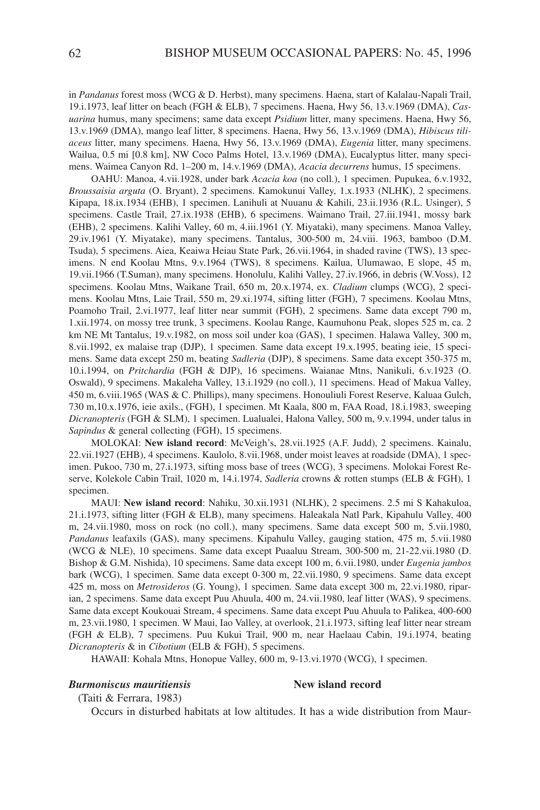in *Pandanus* forest moss (WCG & D. Herbst), many specimens. Haena, start of Kalalau-Napali Trail, 19.i.1973, leaf litter on beach (FGH & ELB), 7 specimens. Haena, Hwy 56, 13.v.1969 (DMA), *Casuarina* humus, many specimens; same data except *Psidium* litter, many specimens. Haena, Hwy 56, 13.v.1969 (DMA), mango leaf litter, 8 specimens. Haena, Hwy 56, 13.v.1969 (DMA), *Hibiscus tiliaceus* litter, many specimens. Haena, Hwy 56, 13.v.1969 (DMA), *Eugenia* litter, many specimens. Wailua, 0.5 mi [0.8 km], NW Coco Palms Hotel, 13.v.1969 (DMA), Eucalyptus litter, many specimens. Waimea Canyon Rd, 1–200 m, 14.v.1969 (DMA), *Acacia decurrens* humus, 15 specimens.

OAHU: Manoa, 4.vii.1928, under bark *Acacia koa* (no coll.), 1 specimen. Pupukea, 6.v.1932, *Broussaisia arguta* (O. Bryant), 2 specimens. Kamokunui Valley, 1.x.1933 (NLHK), 2 specimens. Kipapa, 18.ix.1934 (EHB), 1 specimen. Lanihuli at Nuuanu & Kahili, 23.ii.1936 (R.L. Usinger), 5 specimens. Castle Trail, 27.ix.1938 (EHB), 6 specimens. Waimano Trail, 27.iii.1941, mossy bark (EHB), 2 specimens. Kalihi Valley, 60 m, 4.iii.1961 (Y. Miyataki), many specimens. Manoa Valley, 29.iv.1961 (Y. Miyatake), many specimens. Tantalus, 300-500 m, 24.viii. 1963, bamboo (D.M. Tsuda), 5 specimens. Aiea, Keaiwa Heiau State Park, 26.vii.1964, in shaded ravine (TWS), 13 specimens. N end Koolau Mtns, 9.v.1964 (TWS), 8 specimens. Kailua, Ulumawao, E slope, 45 m, 19.vii.1966 (T.Suman), many specimens. Honolulu, Kalihi Valley, 27.iv.1966, in debris (W.Voss), 12 specimens. Koolau Mtns, Waikane Trail, 650 m, 20.x.1974, ex. *Cladium* clumps (WCG), 2 specimens. Koolau Mtns, Laie Trail, 550 m, 29.xi.1974, sifting litter (FGH), 7 specimens. Koolau Mtns, Poamoho Trail, 2.vi.1977, leaf litter near summit (FGH), 2 specimens. Same data except 790 m, 1.xii.1974, on mossy tree trunk, 3 specimens. Koolau Range, Kaumuhonu Peak, slopes 525 m, ca. 2 km NE Mt Tantalus, 19.v.1982, on moss soil under koa (GAS), 1 specimen. Halawa Valley, 300 m, 8.vii.1992, ex malaise trap (DJP), 1 specimen. Same data except 19.x.1995, beating ieie, 15 specimens. Same data except 250 m, beating *Sadleria* (DJP), 8 specimens. Same data except 350-375 m, 10.i.1994, on *Pritchardia* (FGH & DJP), 16 specimens. Waianae Mtns, Nanikuli, 6.v.1923 (O. Oswald), 9 specimens. Makaleha Valley, 13.i.1929 (no coll.), 11 specimens. Head of Makua Valley, 450 m, 6.viii.1965 (WAS & C. Phillips), many specimens. Honouliuli Forest Reserve, Kaluaa Gulch, 730 m,10.x.1976, ieie axils., (FGH), 1 specimen. Mt Kaala, 800 m, FAA Road, 18.i.1983, sweeping *Dicranopteris* (FGH & SLM), 1 specimen. Lualualei, Halona Valley, 500 m, 9.v.1994, under talus in *Sapindus* & general collecting (FGH), 15 specimens.

MOLOKAI: **New island record**: McVeigh's, 28.vii.1925 (A.F. Judd), 2 specimens. Kainalu, 22.vii.1927 (EHB), 4 specimens. Kaulolo, 8.vii.1968, under moist leaves at roadside (DMA), 1 specimen. Pukoo, 730 m, 27.i.1973, sifting moss base of trees (WCG), 3 specimens. Molokai Forest Reserve, Kolekole Cabin Trail, 1020 m, 14.i.1974, *Sadleria* crowns & rotten stumps (ELB & FGH), 1 specimen.

MAUI: **New island record**: Nahiku, 30.xii.1931 (NLHK), 2 specimens. 2.5 mi S Kahakuloa, 21.i.1973, sifting litter (FGH & ELB), many specimens. Haleakala Natl Park, Kipahulu Valley, 400 m, 24.vii.1980, moss on rock (no coll.), many specimens. Same data except 500 m, 5.vii.1980, *Pandanus* leafaxils (GAS), many specimens. Kipahulu Valley, gauging station, 475 m, 5.vii.1980 (WCG & NLE), 10 specimens. Same data except Puaaluu Stream, 300-500 m, 21-22.vii.1980 (D. Bishop & G.M. Nishida), 10 specimens. Same data except 100 m, 6.vii.1980, under *Eugenia jambos* bark (WCG), 1 specimen. Same data except 0-300 m, 22.vii.1980, 9 specimens. Same data except 425 m, moss on *Metrosideros* (G. Young), 1 specimen. Same data except 300 m, 22.vi.1980, riparian, 2 specimens. Same data except Puu Ahuula, 400 m, 24.vii.1980, leaf litter (WAS), 9 specimens. Same data except Koukouai Stream, 4 specimens. Same data except Puu Ahuula to Palikea, 400-600 m, 23.vii.1980, 1 specimen. W Maui, Iao Valley, at overlook, 21.i.1973, sifting leaf litter near stream (FGH & ELB), 7 specimens. Puu Kukui Trail, 900 m, near Haelaau Cabin, 19.i.1974, beating *Dicranopteris* & in *Cibotium* (ELB & FGH), 5 specimens.

HAWAII: Kohala Mtns, Honopue Valley, 600 m, 9-13.vi.1970 (WCG), 1 specimen.

## *Burmoniscus mauritiensis* **New island record**

(Taiti & Ferrara, 1983)

Occurs in disturbed habitats at low altitudes. It has a wide distribution from Maur-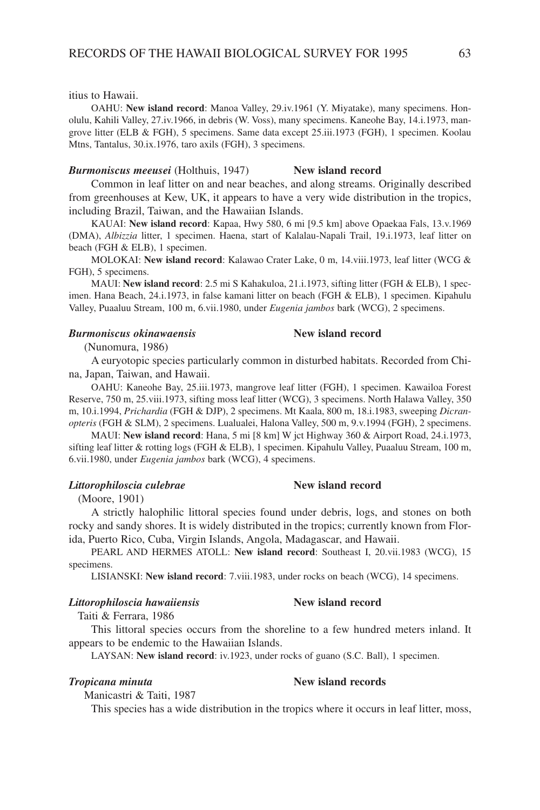itius to Hawaii.

OAHU: **New island record**: Manoa Valley, 29.iv.1961 (Y. Miyatake), many specimens. Honolulu, Kahili Valley, 27.iv.1966, in debris (W. Voss), many specimens. Kaneohe Bay, 14.i.1973, mangrove litter (ELB & FGH), 5 specimens. Same data except 25.iii.1973 (FGH), 1 specimen. Koolau Mtns, Tantalus, 30.ix.1976, taro axils (FGH), 3 specimens.

## *Burmoniscus meeusei* (Holthuis, 1947) **New island record**

Common in leaf litter on and near beaches, and along streams. Originally described from greenhouses at Kew, UK, it appears to have a very wide distribution in the tropics, including Brazil, Taiwan, and the Hawaiian Islands.

KAUAI: **New island record**: Kapaa, Hwy 580, 6 mi [9.5 km] above Opaekaa Fals, 13.v.1969 (DMA), *Albizzia* litter, 1 specimen. Haena, start of Kalalau-Napali Trail, 19.i.1973, leaf litter on beach (FGH & ELB), 1 specimen.

MOLOKAI: **New island record**: Kalawao Crater Lake, 0 m, 14.viii.1973, leaf litter (WCG & FGH), 5 specimens.

MAUI: **New island record**: 2.5 mi S Kahakuloa, 21.i.1973, sifting litter (FGH & ELB), 1 specimen. Hana Beach, 24.i.1973, in false kamani litter on beach (FGH & ELB), 1 specimen. Kipahulu Valley, Puaaluu Stream, 100 m, 6.vii.1980, under *Eugenia jambos* bark (WCG), 2 specimens.

## *Burmoniscus okinawaensis* **New island record**

(Nunomura, 1986)

A euryotopic species particularly common in disturbed habitats. Recorded from China, Japan, Taiwan, and Hawaii.

OAHU: Kaneohe Bay, 25.iii.1973, mangrove leaf litter (FGH), 1 specimen. Kawailoa Forest Reserve, 750 m, 25.viii.1973, sifting moss leaf litter (WCG), 3 specimens. North Halawa Valley, 350 m, 10.i.1994, *Prichardia* (FGH & DJP), 2 specimens. Mt Kaala, 800 m, 18.i.1983, sweeping *Dicranopteris* (FGH & SLM), 2 specimens. Lualualei, Halona Valley, 500 m, 9.v.1994 (FGH), 2 specimens.

MAUI: **New island record**: Hana, 5 mi [8 km] W jct Highway 360 & Airport Road, 24.i.1973, sifting leaf litter & rotting logs (FGH & ELB), 1 specimen. Kipahulu Valley, Puaaluu Stream, 100 m, 6.vii.1980, under *Eugenia jambos* bark (WCG), 4 specimens.

## *Littorophiloscia culebrae* **New island record**

(Moore, 1901)

A strictly halophilic littoral species found under debris, logs, and stones on both rocky and sandy shores. It is widely distributed in the tropics; currently known from Florida, Puerto Rico, Cuba, Virgin Islands, Angola, Madagascar, and Hawaii.

PEARL AND HERMES ATOLL: **New island record**: Southeast I, 20.vii.1983 (WCG), 15 specimens.

LISIANSKI: **New island record**: 7.viii.1983, under rocks on beach (WCG), 14 specimens.

## *Littorophiloscia hawaiiensis* **New island record**

Taiti & Ferrara, 1986

This littoral species occurs from the shoreline to a few hundred meters inland. It appears to be endemic to the Hawaiian Islands.

LAYSAN: **New island record**: iv.1923, under rocks of guano (S.C. Ball), 1 specimen.

## *Tropicana minuta* **New island records**

Manicastri & Taiti, 1987

This species has a wide distribution in the tropics where it occurs in leaf litter, moss,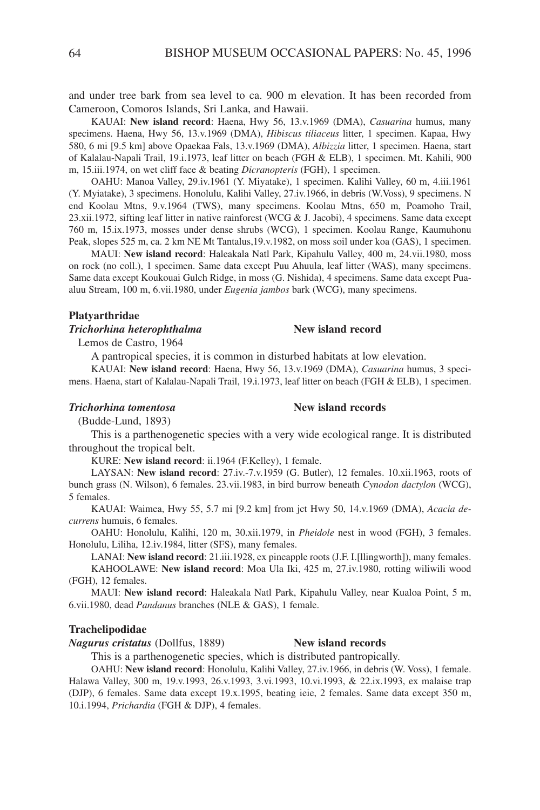and under tree bark from sea level to ca. 900 m elevation. It has been recorded from Cameroon, Comoros Islands, Sri Lanka, and Hawaii.

KAUAI: **New island record**: Haena, Hwy 56, 13.v.1969 (DMA), *Casuarina* humus, many specimens. Haena, Hwy 56, 13.v.1969 (DMA), *Hibiscus tiliaceus* litter, 1 specimen. Kapaa, Hwy 580, 6 mi [9.5 km] above Opaekaa Fals, 13.v.1969 (DMA), *Albizzia* litter, 1 specimen. Haena, start of Kalalau-Napali Trail, 19.i.1973, leaf litter on beach (FGH & ELB), 1 specimen. Mt. Kahili, 900 m, 15.iii.1974, on wet cliff face & beating *Dicranopteris* (FGH), 1 specimen.

OAHU: Manoa Valley, 29.iv.1961 (Y. Miyatake), 1 specimen. Kalihi Valley, 60 m, 4.iii.1961 (Y. Myiatake), 3 specimens. Honolulu, Kalihi Valley, 27.iv.1966, in debris (W.Voss), 9 specimens. N end Koolau Mtns, 9.v.1964 (TWS), many specimens. Koolau Mtns, 650 m, Poamoho Trail, 23.xii.1972, sifting leaf litter in native rainforest (WCG & J. Jacobi), 4 specimens. Same data except 760 m, 15.ix.1973, mosses under dense shrubs (WCG), 1 specimen. Koolau Range, Kaumuhonu Peak, slopes 525 m, ca. 2 km NE Mt Tantalus,19.v.1982, on moss soil under koa (GAS), 1 specimen.

MAUI: **New island record**: Haleakala Natl Park, Kipahulu Valley, 400 m, 24.vii.1980, moss on rock (no coll.), 1 specimen. Same data except Puu Ahuula, leaf litter (WAS), many specimens. Same data except Koukouai Gulch Ridge, in moss (G. Nishida), 4 specimens. Same data except Puaaluu Stream, 100 m, 6.vii.1980, under *Eugenia jambos* bark (WCG), many specimens.

## **Platyarthridae**

## *Trichorhina heterophthalma* **New island record**

Lemos de Castro, 1964

A pantropical species, it is common in disturbed habitats at low elevation.

KAUAI: **New island record**: Haena, Hwy 56, 13.v.1969 (DMA), *Casuarina* humus, 3 specimens. Haena, start of Kalalau-Napali Trail, 19.i.1973, leaf litter on beach (FGH & ELB), 1 specimen.

## *Trichorhina tomentosa* **New island records**

(Budde-Lund, 1893)

This is a parthenogenetic species with a very wide ecological range. It is distributed throughout the tropical belt.

KURE: **New island record**: ii.1964 (F.Kelley), 1 female.

LAYSAN: **New island record**: 27.iv.-7.v.1959 (G. Butler), 12 females. 10.xii.1963, roots of bunch grass (N. Wilson), 6 females. 23.vii.1983, in bird burrow beneath *Cynodon dactylon* (WCG), 5 females.

KAUAI: Waimea, Hwy 55, 5.7 mi [9.2 km] from jct Hwy 50, 14.v.1969 (DMA), *Acacia decurrens* humuis, 6 females.

OAHU: Honolulu, Kalihi, 120 m, 30.xii.1979, in *Pheidole* nest in wood (FGH), 3 females. Honolulu, Liliha, 12.iv.1984, litter (SFS), many females.

LANAI: **New island record**: 21.iii.1928, ex pineapple roots (J.F. I.[llingworth]), many females.

KAHOOLAWE: **New island record**: Moa Ula Iki, 425 m, 27.iv.1980, rotting wiliwili wood (FGH), 12 females.

MAUI: **New island record**: Haleakala Natl Park, Kipahulu Valley, near Kualoa Point, 5 m, 6.vii.1980, dead *Pandanus* branches (NLE & GAS), 1 female.

## **Trachelipodidae**

*Nagurus cristatus* (Dollfus, 1889) **New island records**

This is a parthenogenetic species, which is distributed pantropically.

OAHU: **New island record**: Honolulu, Kalihi Valley, 27.iv.1966, in debris (W. Voss), 1 female. Halawa Valley, 300 m, 19.v.1993, 26.v.1993, 3.vi.1993, 10.vi.1993, & 22.ix.1993, ex malaise trap (DJP), 6 females. Same data except 19.x.1995, beating ieie, 2 females. Same data except 350 m, 10.i.1994, *Prichardia* (FGH & DJP), 4 females.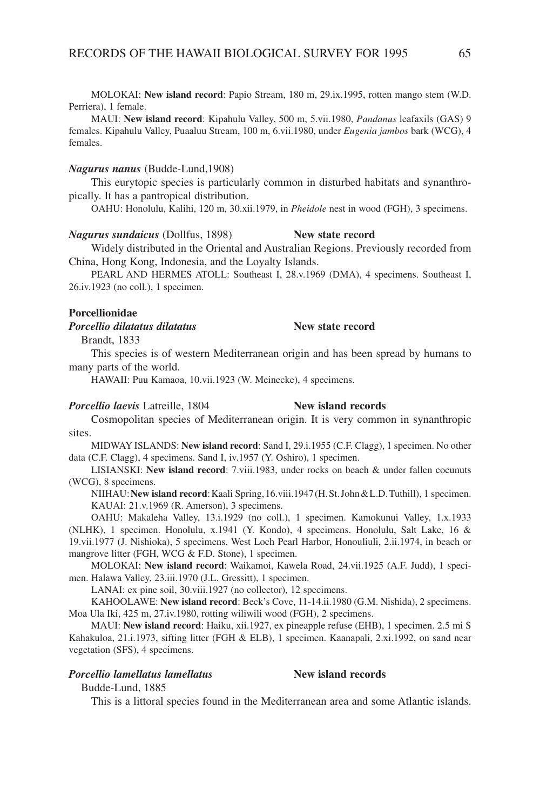MOLOKAI: **New island record**: Papio Stream, 180 m, 29.ix.1995, rotten mango stem (W.D. Perriera), 1 female.

MAUI: **New island record**: Kipahulu Valley, 500 m, 5.vii.1980, *Pandanus* leafaxils (GAS) 9 females. Kipahulu Valley, Puaaluu Stream, 100 m, 6.vii.1980, under *Eugenia jambos* bark (WCG), 4 females.

## *Nagurus nanus* (Budde-Lund,1908)

This eurytopic species is particularly common in disturbed habitats and synanthropically. It has a pantropical distribution.

OAHU: Honolulu, Kalihi, 120 m, 30.xii.1979, in *Pheidole* nest in wood (FGH), 3 specimens.

Widely distributed in the Oriental and Australian Regions. Previously recorded from China, Hong Kong, Indonesia, and the Loyalty Islands.

PEARL AND HERMES ATOLL: Southeast I, 28.v.1969 (DMA), 4 specimens. Southeast I, 26.iv.1923 (no coll.), 1 specimen.

## **Porcellionidae**

*Porcellio dilatatus dilatatus* **New state record**

Brandt, 1833

This species is of western Mediterranean origin and has been spread by humans to many parts of the world.

HAWAII: Puu Kamaoa, 10.vii.1923 (W. Meinecke), 4 specimens.

*Nagurus sundaicus* (Dollfus, 1898) **New state record**

## **Porcellio laevis** Latreille, 1804 **New island records**

Cosmopolitan species of Mediterranean origin. It is very common in synanthropic sites.

MIDWAY ISLANDS: **New island record**: Sand I, 29.i.1955 (C.F. Clagg), 1 specimen. No other data (C.F. Clagg), 4 specimens. Sand I, iv.1957 (Y. Oshiro), 1 specimen.

LISIANSKI: **New island record**: 7.viii.1983, under rocks on beach & under fallen cocunuts (WCG), 8 specimens.

NIIHAU:**New island record**:Kaali Spring,16.viii.1947(H.St.John&L.D.Tuthill), 1 specimen. KAUAI: 21.v.1969 (R. Amerson), 3 specimens.

OAHU: Makaleha Valley, 13.i.1929 (no coll.), 1 specimen. Kamokunui Valley, 1.x.1933 (NLHK), 1 specimen. Honolulu, x.1941 (Y. Kondo), 4 specimens. Honolulu, Salt Lake, 16 & 19.vii.1977 (J. Nishioka), 5 specimens. West Loch Pearl Harbor, Honouliuli, 2.ii.1974, in beach or mangrove litter (FGH, WCG & F.D. Stone), 1 specimen.

MOLOKAI: **New island record**: Waikamoi, Kawela Road, 24.vii.1925 (A.F. Judd), 1 specimen. Halawa Valley, 23.iii.1970 (J.L. Gressitt), 1 specimen.

LANAI: ex pine soil, 30.viii.1927 (no collector), 12 specimens.

KAHOOLAWE: **New island record**: Beck's Cove, 11-14.ii.1980 (G.M. Nishida), 2 specimens. Moa Ula Iki, 425 m, 27.iv.1980, rotting wiliwili wood (FGH), 2 specimens.

MAUI: **New island record**: Haiku, xii.1927, ex pineapple refuse (EHB), 1 specimen. 2.5 mi S Kahakuloa, 21.i.1973, sifting litter (FGH & ELB), 1 specimen. Kaanapali, 2.xi.1992, on sand near vegetation (SFS), 4 specimens.

## *Porcellio lamellatus lamellatus* **New island records**

Budde-Lund, 1885

This is a littoral species found in the Mediterranean area and some Atlantic islands.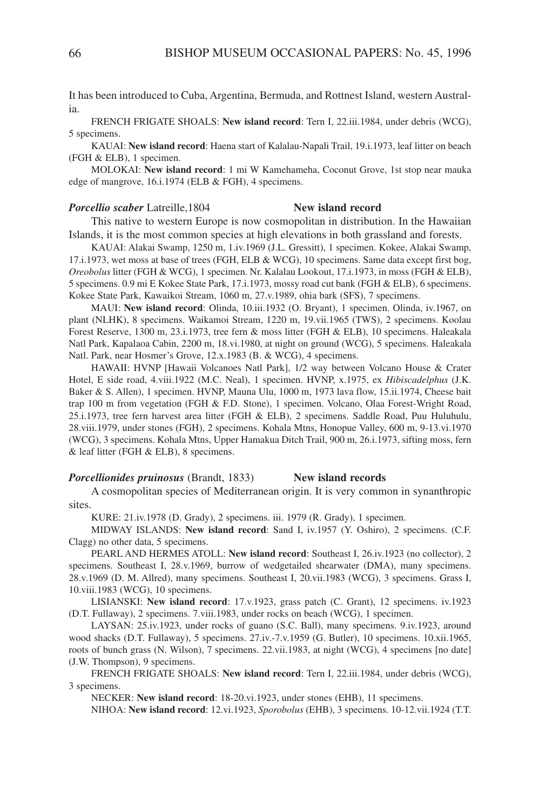It has been introduced to Cuba, Argentina, Bermuda, and Rottnest Island, western Australia.

FRENCH FRIGATE SHOALS: **New island record**: Tern I, 22.iii.1984, under debris (WCG), 5 specimens.

KAUAI: **New island record**: Haena start of Kalalau-Napali Trail, 19.i.1973, leaf litter on beach (FGH & ELB), 1 specimen.

MOLOKAI: **New island record**: 1 mi W Kamehameha, Coconut Grove, 1st stop near mauka edge of mangrove, 16.i.1974 (ELB & FGH), 4 specimens.

## *Porcellio scaber* Latreille,1804 **New island record**

This native to western Europe is now cosmopolitan in distribution. In the Hawaiian Islands, it is the most common species at high elevations in both grassland and forests.

KAUAI: Alakai Swamp, 1250 m, 1.iv.1969 (J.L. Gressitt), 1 specimen. Kokee, Alakai Swamp, 17.i.1973, wet moss at base of trees (FGH, ELB & WCG), 10 specimens. Same data except first bog, *Oreobolus* litter (FGH & WCG), 1 specimen. Nr. Kalalau Lookout, 17.i.1973, in moss (FGH & ELB), 5 specimens. 0.9 mi E Kokee State Park, 17.i.1973, mossy road cut bank (FGH & ELB), 6 specimens. Kokee State Park, Kawaikoi Stream, 1060 m, 27.v.1989, ohia bark (SFS), 7 specimens.

MAUI: **New island record**: Olinda, 10.iii.1932 (O. Bryant), 1 specimen. Olinda, iv.1967, on plant (NLHK), 8 specimens. Waikamoi Stream, 1220 m, 19.vii.1965 (TWS), 2 specimens. Koolau Forest Reserve, 1300 m, 23.i.1973, tree fern & moss litter (FGH & ELB), 10 specimens. Haleakala Natl Park, Kapalaoa Cabin, 2200 m, 18.vi.1980, at night on ground (WCG), 5 specimens. Haleakala Natl. Park, near Hosmer's Grove, 12.x.1983 (B. & WCG), 4 specimens.

HAWAII: HVNP [Hawaii Volcanoes Natl Park], 1/2 way between Volcano House & Crater Hotel, E side road, 4.viii.1922 (M.C. Neal), 1 specimen. HVNP, x.1975, ex *Hibiscadelphus* (J.K. Baker & S. Allen), 1 specimen. HVNP, Mauna Ulu, 1000 m, 1973 lava flow, 15.ii.1974, Cheese bait trap 100 m from vegetation (FGH & F.D. Stone), 1 specimen. Volcano, Olaa Forest-Wright Road, 25.i.1973, tree fern harvest area litter (FGH & ELB), 2 specimens. Saddle Road, Puu Huluhulu, 28.viii.1979, under stones (FGH), 2 specimens. Kohala Mtns, Honopue Valley, 600 m, 9-13.vi.1970 (WCG), 3 specimens. Kohala Mtns, Upper Hamakua Ditch Trail, 900 m, 26.i.1973, sifting moss, fern & leaf litter (FGH & ELB), 8 specimens.

## **Porcellionides pruinosus** (Brandt, 1833) **New island records**

A cosmopolitan species of Mediterranean origin. It is very common in synanthropic sites.

KURE: 21.iv.1978 (D. Grady), 2 specimens. iii. 1979 (R. Grady), 1 specimen.

MIDWAY ISLANDS: **New island record**: Sand I, iv.1957 (Y. Oshiro), 2 specimens. (C.F. Clagg) no other data, 5 specimens.

PEARL AND HERMES ATOLL: **New island record**: Southeast I, 26.iv.1923 (no collector), 2 specimens. Southeast I, 28.v.1969, burrow of wedgetailed shearwater (DMA), many specimens. 28.v.1969 (D. M. Allred), many specimens. Southeast I, 20.vii.1983 (WCG), 3 specimens. Grass I, 10.viii.1983 (WCG), 10 specimens.

LISIANSKI: **New island record**: 17.v.1923, grass patch (C. Grant), 12 specimens. iv.1923 (D.T. Fullaway), 2 specimens. 7.viii.1983, under rocks on beach (WCG), 1 specimen.

LAYSAN: 25.iv.1923, under rocks of guano (S.C. Ball), many specimens. 9.iv.1923, around wood shacks (D.T. Fullaway), 5 specimens. 27.iv.-7.v.1959 (G. Butler), 10 specimens. 10.xii.1965, roots of bunch grass (N. Wilson), 7 specimens. 22.vii.1983, at night (WCG), 4 specimens [no date] (J.W. Thompson), 9 specimens.

FRENCH FRIGATE SHOALS: **New island record**: Tern I, 22.iii.1984, under debris (WCG), 3 specimens.

NECKER: **New island record**: 18-20.vi.1923, under stones (EHB), 11 specimens.

NIHOA: **New island record**: 12.vi.1923, *Sporobolus* (EHB), 3 specimens. 10-12.vii.1924 (T.T.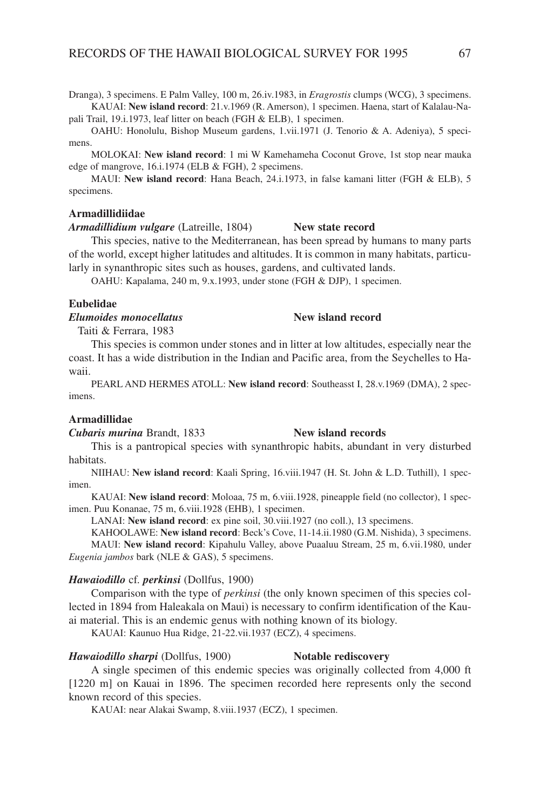Dranga), 3 specimens. E Palm Valley, 100 m, 26.iv.1983, in *Eragrostis* clumps (WCG), 3 specimens. KAUAI: **New island record**: 21.v.1969 (R. Amerson), 1 specimen. Haena, start of Kalalau-Napali Trail, 19.i.1973, leaf litter on beach (FGH & ELB), 1 specimen.

OAHU: Honolulu, Bishop Museum gardens, 1.vii.1971 (J. Tenorio & A. Adeniya), 5 specimens.

MOLOKAI: **New island record**: 1 mi W Kamehameha Coconut Grove, 1st stop near mauka edge of mangrove, 16.i.1974 (ELB & FGH), 2 specimens.

MAUI: **New island record**: Hana Beach, 24.i.1973, in false kamani litter (FGH & ELB), 5 specimens.

## **Armadillidiidae**

*Armadillidium vulgare* (Latreille, 1804) **New state record**

This species, native to the Mediterranean, has been spread by humans to many parts of the world, except higher latitudes and altitudes. It is common in many habitats, particularly in synanthropic sites such as houses, gardens, and cultivated lands.

OAHU: Kapalama, 240 m, 9.x.1993, under stone (FGH & DJP), 1 specimen.

## **Eubelidae**

*Elumoides monocellatus* **New island record**

Taiti & Ferrara, 1983

This species is common under stones and in litter at low altitudes, especially near the coast. It has a wide distribution in the Indian and Pacific area, from the Seychelles to Hawaii.

PEARL AND HERMES ATOLL: **New island record**: Southeasst I, 28.v.1969 (DMA), 2 specimens.

## **Armadillidae**

*Cubaris murina* Brandt, 1833 **New island records**

# This is a pantropical species with synanthropic habits, abundant in very disturbed

habitats.

NIIHAU: **New island record**: Kaali Spring, 16.viii.1947 (H. St. John & L.D. Tuthill), 1 specimen.

KAUAI: **New island record**: Moloaa, 75 m, 6.viii.1928, pineapple field (no collector), 1 specimen. Puu Konanae, 75 m, 6.viii.1928 (EHB), 1 specimen.

LANAI: **New island record**: ex pine soil, 30.viii.1927 (no coll.), 13 specimens.

KAHOOLAWE: **New island record**: Beck's Cove, 11-14.ii.1980 (G.M. Nishida), 3 specimens.

MAUI: **New island record**: Kipahulu Valley, above Puaaluu Stream, 25 m, 6.vii.1980, under *Eugenia jambos* bark (NLE & GAS), 5 specimens.

## *Hawaiodillo* cf*. perkinsi* (Dollfus, 1900)

Comparison with the type of *perkinsi* (the only known specimen of this species collected in 1894 from Haleakala on Maui) is necessary to confirm identification of the Kauai material. This is an endemic genus with nothing known of its biology.

KAUAI: Kaunuo Hua Ridge, 21-22.vii.1937 (ECZ), 4 specimens.

## *Hawaiodillo sharpi* (Dollfus, 1900) **Notable rediscovery**

## A single specimen of this endemic species was originally collected from 4,000 ft [1220 m] on Kauai in 1896. The specimen recorded here represents only the second known record of this species.

KAUAI: near Alakai Swamp, 8.viii.1937 (ECZ), 1 specimen.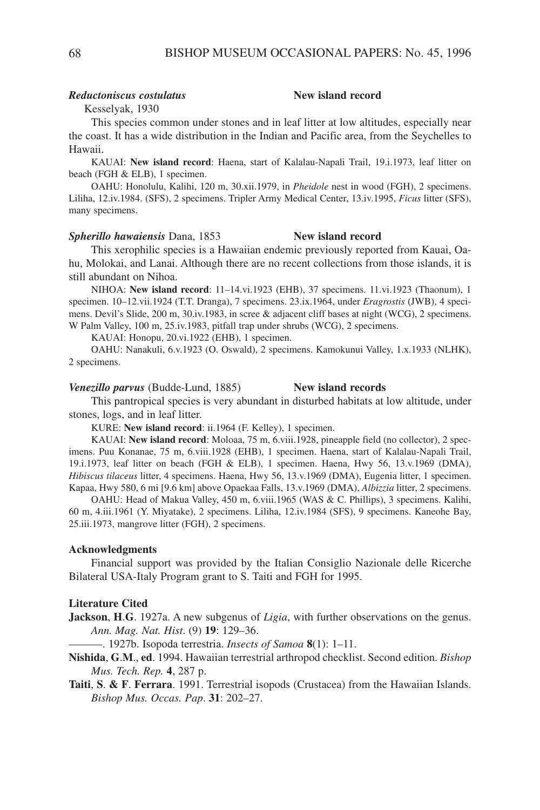## *Reductoniscus costulatus* **New island record**

Kesselyak, 1930

This species common under stones and in leaf litter at low altitudes, especially near the coast. It has a wide distribution in the Indian and Pacific area, from the Seychelles to Hawaii.

KAUAI: **New island record**: Haena, start of Kalalau-Napali Trail, 19.i.1973, leaf litter on beach (FGH & ELB), 1 specimen.

OAHU: Honolulu, Kalihi, 120 m, 30.xii.1979, in *Pheidole* nest in wood (FGH), 2 specimens. Liliha, 12.iv.1984. (SFS), 2 specimens. Tripler Army Medical Center, 13.iv.1995, *Ficus* litter (SFS), many specimens.

## *Spherillo hawaiensis* Dana, 1853 **New island record**

This xerophilic species is a Hawaiian endemic previously reported from Kauai, Oahu, Molokai, and Lanai. Although there are no recent collections from those islands, it is still abundant on Nihoa.

NIHOA: **New island record**: 11–14.vi.1923 (EHB), 37 specimens. 11.vi.1923 (Thaonum), 1 specimen. 10–12.vii.1924 (T.T. Dranga), 7 specimens. 23.ix.1964, under *Eragrostis* (JWB), 4 specimens. Devil's Slide, 200 m, 30.iv.1983, in scree & adjacent cliff bases at night (WCG), 2 specimens. W Palm Valley, 100 m, 25.iv.1983, pitfall trap under shrubs (WCG), 2 specimens.

KAUAI: Honopu, 20.vi.1922 (EHB), 1 specimen.

OAHU: Nanakuli, 6.v.1923 (O. Oswald), 2 specimens. Kamokunui Valley, 1.x.1933 (NLHK), 2 specimens.

*Venezillo parvus* (Budde-Lund, 1885) **New island records**

This pantropical species is very abundant in disturbed habitats at low altitude, under stones, logs, and in leaf litter.

KURE: **New island record**: ii.1964 (F. Kelley), 1 specimen.

KAUAI: **New island record**: Moloaa, 75 m, 6.viii.1928, pineapple field (no collector), 2 specimens. Puu Konanae, 75 m, 6.viii.1928 (EHB), 1 specimen. Haena, start of Kalalau-Napali Trail, 19.i.1973, leaf litter on beach (FGH & ELB), 1 specimen. Haena, Hwy 56, 13.v.1969 (DMA), *Hibiscus tilaceus* litter, 4 specimens. Haena, Hwy 56, 13.v.1969 (DMA), Eugenia litter, 1 specimen. Kapaa, Hwy 580, 6 mi [9.6 km] above Opaekaa Falls, 13.v.1969 (DMA), *Albizzia* litter, 2 specimens.

OAHU: Head of Makua Valley, 450 m, 6.viii.1965 (WAS & C. Phillips), 3 specimens. Kalihi, 60 m, 4.iii.1961 (Y. Miyatake), 2 specimens. Liliha, 12.iv.1984 (SFS), 9 specimens. Kaneohe Bay, 25.iii.1973, mangrove litter (FGH), 2 specimens.

## **Acknowledgments**

Financial support was provided by the Italian Consiglio Nazionale delle Ricerche Bilateral USA-Italy Program grant to S. Taiti and FGH for 1995.

## **Literature Cited**

**Jackson**, **H**.**G**. 1927a. A new subgenus of *Ligia*, with further observations on the genus. *Ann. Mag. Nat. Hist*. (9) **19**: 129–36.

———. 1927b. Isopoda terrestria. *Insects of Samoa* **8**(1): 1–11.

**Nishida**, **G**.**M**., **ed**. 1994. Hawaiian terrestrial arthropod checklist. Second edition. *Bishop Mus. Tech. Rep.* **4**, 287 p.

**Taiti**, **S**. **& F**. **Ferrara**. 1991. Terrestrial isopods (Crustacea) from the Hawaiian Islands. *Bishop Mus. Occas. Pap*. **31**: 202–27.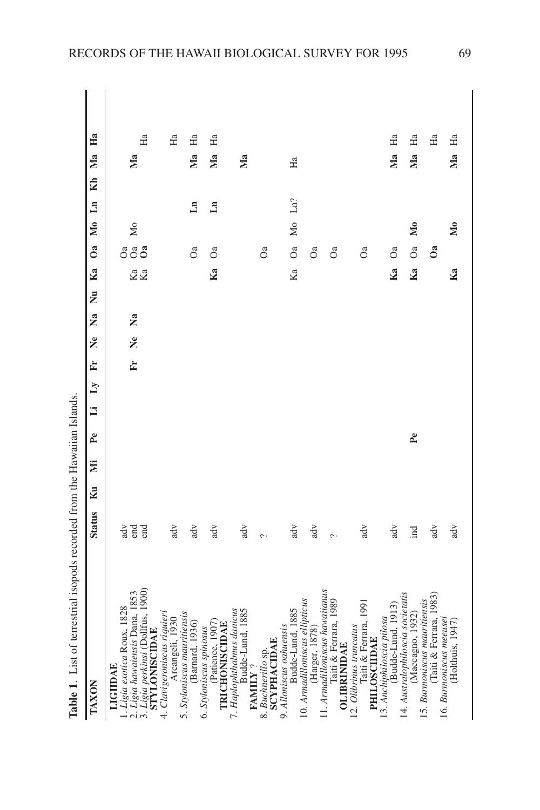| l                                                    |
|------------------------------------------------------|
| ı<br>I                                               |
| ֚֚֚֬                                                 |
| l<br>ו<br>ו<br>֠                                     |
| ļ<br>$\vdots$                                        |
|                                                      |
|                                                      |
| i<br>i                                               |
| í                                                    |
| ı<br>֖֖֖֖֧֧֧֖֚֚֚֚֚֚֚֚֚֚֚֚֚֚֚֚֚֚֚֚֚֚֚֚֚֚֚֚֚֚֚֬֝֓֝֓֞֝֬ |
| ֚֚֬֕֕֕֝֬֝֬֝֬֝֬֝֬֝֬֝֬֝֬֝֬֝֬֝֬֝֬֝֬֝֬֝֬֝֓֬֝֬֝֬֝֬        |
| I                                                    |
| י                                                    |
|                                                      |

| TAXON                                                                                                                                        | <b>Status</b>                           | Ku | ΣÏ | $P_{e}$        | Ë | $\mathbf{Z}$ | È | g<br>$\tilde{\mathbf{z}}$ | $\bar{z}$ | Ka       | 0a             | Mo Ln        |              | Kh | Ma             | H <sub>a</sub> |  |
|----------------------------------------------------------------------------------------------------------------------------------------------|-----------------------------------------|----|----|----------------|---|--------------|---|---------------------------|-----------|----------|----------------|--------------|--------------|----|----------------|----------------|--|
| Ligia perkinsi (Dollfus, 1900)<br>STYLONISCIDAE<br>2. Ligia hawaiensis Dana, 1853<br>1. Ligia exotica Roux, 1828<br>LIGIIDAE<br>$\ddot{3}$ . | end<br>$\ensuremath{\mbox{adv}}$<br>end |    |    |                |   |              | È | Ž<br>å                    |           | Ka<br>Ka | gga            | Мo           |              |    | Мa             | Ha             |  |
| 4. Clavigeroniscus riquieri<br>Arcangeli, 1930                                                                                               | adv                                     |    |    |                |   |              |   |                           |           |          |                |              |              |    |                | Ha             |  |
| 5. Styloniscus mauritiensis<br>(Barnard, 1936)                                                                                               | adv                                     |    |    |                |   |              |   |                           |           |          | O <sub>a</sub> |              | $\mathbb{H}$ |    | Ma             | Ha             |  |
| (Patience, 1907<br>TRICHONISCIDAE<br>6. Styloniscus spinosus                                                                                 | adv                                     |    |    |                |   |              |   |                           |           | Ka       | O <sub>a</sub> |              | $\mathbf{L}$ |    | Ma             | Нa             |  |
| 7. Haplophthalmus danicus<br>Budde-Lund, 1885<br>$\tt{FAMILY}$ ?                                                                             | adv                                     |    |    |                |   |              |   |                           |           |          |                |              |              |    | Ma             |                |  |
| <b>SCYPHACIDAE</b><br>8. Buchnerillo sp.                                                                                                     | $\sim$                                  |    |    |                |   |              |   |                           |           |          | O <sub>a</sub> |              |              |    |                |                |  |
| Budde-Lund, 1885<br>9. Alloniscus oaluensis                                                                                                  | adv                                     |    |    |                |   |              |   |                           |           | Ka       | O <sub>a</sub> |              | Mo Ln?       |    | Ha             |                |  |
| 10. Armadilloniscus ellipticus<br>(Harger, 1878)                                                                                             | adv                                     |    |    |                |   |              |   |                           |           |          | ða             |              |              |    |                |                |  |
| 11. Armadilloniscus hawaiianus<br>Taiti & Ferrara, 1989<br><b>OLIBRINIDAE</b>                                                                |                                         |    |    |                |   |              |   |                           |           |          | O <sub>a</sub> |              |              |    |                |                |  |
| Taiti & Ferrara, 1991<br>12. Olibrinus truncatus<br><b>PHILOSCIIDAE</b>                                                                      | $\frac{d}{dx}$                          |    |    |                |   |              |   |                           |           |          | O <sub>a</sub> |              |              |    |                |                |  |
| Budde-Lund, 1913)<br>13. Anchiphiloscia pilosa                                                                                               | adv                                     |    |    |                |   |              |   |                           |           | Ka       | O <sub>a</sub> |              |              |    | M <sub>a</sub> | Ha             |  |
| 14. Australophiloscia societatis<br>(Maccagno, 1932)                                                                                         | ind                                     |    |    | P <sub>e</sub> |   |              |   |                           |           | Ka       | O <sub>a</sub> | $\mathbf{M}$ |              |    | Ma             | Ha             |  |
| Taiti & Ferrara, 1983<br>15. Burmoniscus mauritiensis                                                                                        | adv                                     |    |    |                |   |              |   |                           |           |          | ð              |              |              |    |                | Ha             |  |
| 16. Burmoniscus meeusei<br>(Holthuis, 1947)                                                                                                  | $\overline{d}v$                         |    |    |                |   |              |   |                           |           | Ka       |                | $\mathbf{M}$ |              |    | Ma             | Ha             |  |
|                                                                                                                                              |                                         |    |    |                |   |              |   |                           |           |          |                |              |              |    |                |                |  |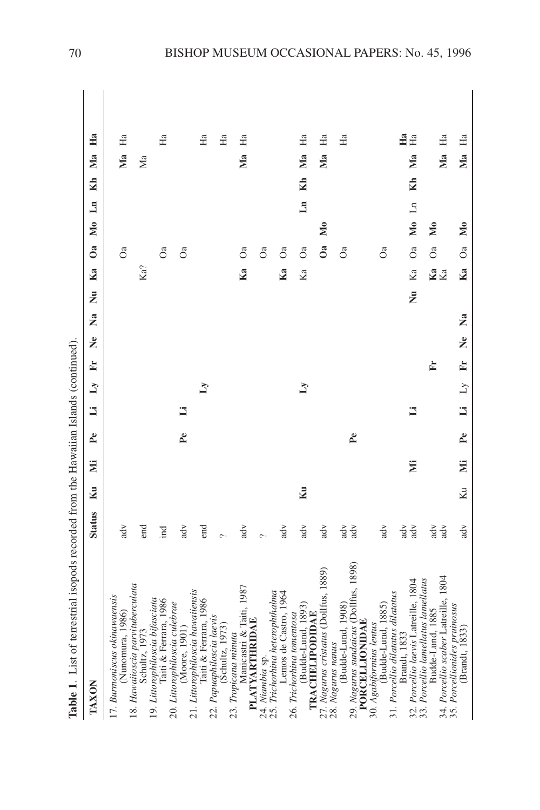| I      | $\frac{1}{2}$                                    |
|--------|--------------------------------------------------|
| י<br>י |                                                  |
|        |                                                  |
|        | ${1}$<br>.<br>.<br>.<br>.<br>.                   |
|        | Co Cal                                           |
|        | י<br>י<br>$-2.1$ $-2.0$ $-2.0$                   |
|        | ֖֖֖֖֖֖֖֖֧֖֖֖֧֪֪ׅ֚֚֚֚֚֚֚֚֚֚֚֚֚֚֚֚֚֚֚֚֚֚֚֚֚֚֚֬֝֝֓֞ |
|        | ۱,<br> <br> <br>                                 |
| י<br>ו | Ì                                                |

| TAXON                                                                                              | <b>Status</b>                     | Ku | ΣÏ | P <sub>e</sub> | $\overline{a}$ | $\mathbf{z}$ | $\tilde{\mathbf{z}}$<br>Ė | $\overline{\mathbf{z}}$ | ż | Ka       | $\mathbf{0}$ a | Mo Ln                     | Kh       | Ma    | Ha                   |
|----------------------------------------------------------------------------------------------------|-----------------------------------|----|----|----------------|----------------|--------------|---------------------------|-------------------------|---|----------|----------------|---------------------------|----------|-------|----------------------|
| 17. Burmoniscus okinawaensis<br>(Nunomura, 1986)                                                   | adv                               |    |    |                |                |              |                           |                         |   |          | O <sub>a</sub> |                           |          | Ma    | Ha                   |
| 18. Hawaiioscia parvituberculata<br>Schultz, 1973                                                  | end                               |    |    |                |                |              |                           |                         |   | Ka?      |                |                           |          | Мa    |                      |
| 19. Littorophiloscia bifasciata<br>Taiti & Ferrara, 1986                                           | İnd                               |    |    |                |                |              |                           |                         |   |          | O <sub>a</sub> |                           |          |       | Ha                   |
| 20. Littorophiloscia culebrae<br>(Moore, 1901)                                                     | $\overline{d}v$                   |    |    | P <sub>e</sub> | Б              |              |                           |                         |   |          | O <sub>a</sub> |                           |          |       |                      |
| 21. Littorophiloscia hawaiiensis<br>Taiti & Ferrara, 1986                                          | end                               |    |    |                |                | Ñ            |                           |                         |   |          |                |                           |          |       | Ha                   |
| 22. Papuaphiloscia laevis<br>(Schultz, 1973)                                                       | $\sim$                            |    |    |                |                |              |                           |                         |   |          |                |                           |          |       | Ha                   |
| Manicastri & Taiti, 1987<br>23. Tropicana minuta                                                   | $\overline{d}V$                   |    |    |                |                |              |                           |                         |   | Ka       | S              |                           |          | Ma    | Ha                   |
| <b>PLATYARTHRIDAE</b><br>24. Niambia sp.                                                           |                                   |    |    |                |                |              |                           |                         |   |          | O <sub>a</sub> |                           |          |       |                      |
| 25. Trichorhina heterophthalma<br>Lemos de Castro, 1964                                            | adv                               |    |    |                |                |              |                           |                         |   | Ka       | O <sub>a</sub> |                           |          |       |                      |
| (Budde-Lund, 1893)<br>26. Trichorhina tomentosa<br><b>TRACHELIPODIDAE</b>                          | $\overline{d}V$                   | Ku |    |                |                | Ŋ            |                           |                         |   | Ka       | O <sub>a</sub> |                           | Ln Kh Ma |       | Ha                   |
| 27. Nagurus cristatus (Dollfus, 1889)                                                              | $\overline{d}$                    |    |    |                |                |              |                           |                         |   |          | å              | $\mathbb{N}_0$            |          | $M$ a | H <sub>a</sub>       |
| 29. Nagurus sundaicus (Dollfus, 1898)<br>(Budde-Lund, 1908)<br>PORCELLIONIDAE<br>28. Nagurus nanus | $\overline{d}$<br>adv             |    |    | P <sub>e</sub> |                |              |                           |                         |   |          | O <sub>a</sub> |                           |          |       | Ha                   |
| <b>Budde-Lund</b> , 1885)<br>30. Agabiformius lentus                                               | $\overline{d}$                    |    |    |                |                |              |                           |                         |   |          | O <sub>a</sub> |                           |          |       |                      |
| 32. Porcellio laevis Latreille, 1804<br>31. Porcellio dilatatus dilatatus<br>Brandt, 1833          | $\overline{d}V$<br>adv            |    | Ë  |                | Ħ              |              |                           |                         | ż | Ka       | O <sub>a</sub> | Mo Ln                     | Kh       | Ma    | Ha<br>H <sub>a</sub> |
| 34. Porcellio scaber Latreille, 1804<br>33. Porcellio lamellatus lamellatus<br>Budde-Lund, 1885    | $\overline{d}$<br>$\overline{d}V$ |    |    |                |                |              | È                         |                         |   | Ka<br>Ka | O <sub>a</sub> | $\overline{\mathsf{M}}$ 0 |          | Ma    | H <sub>a</sub>       |
| 35. Porcellionides pruinosus<br>(Brandt, 1833)                                                     | $\overline{d}$                    | Κu | Ë  | P <sub>e</sub> | ij             | $\mathbb{Z}$ | $\tilde{\mathbf{z}}$<br>È | 2a                      |   | Ka       | O <sub>a</sub> | M <sub>0</sub>            |          | Ma    | Ha                   |